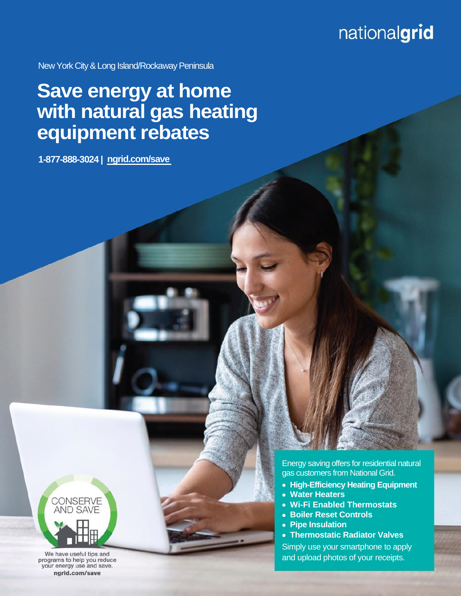## nationalgrid

New York City & Long Island/Rockaway Peninsula

## **[Save energy at home](http://ngrid.com/myrebate)  [with natural gas heating](http://ngrid.com/myrebate) equipment rebates**

**1-877-888-3024 | [ngrid.com/save](http://www.ngrid.com/save)**



We have useful tips and programs to help you reduce your energy use and save. ngrid.com/save

Energy saving offers for residential natural gas customers from National Grid.

- **High-Efficiency Heating Equipment**
- **Water Heaters**
- **Wi-Fi Enabled Thermostats**
- **Boiler Reset Controls**
- **Pipe Insulation**
- **Thermostatic Radiato[r Valves](http://www.ngrid.com/ee)**

Simply use your smartphone to apply and upload photos of your receipts.